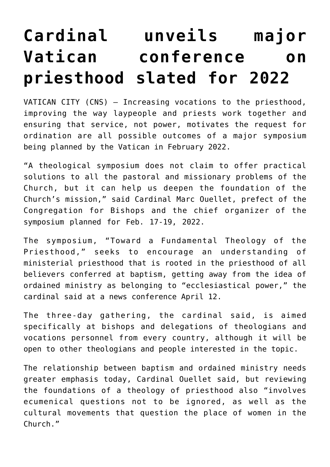## **[Cardinal unveils major](https://www.osvnews.com/2021/04/12/cardinal-unveils-major-vatican-conference-on-priesthood-slated-for-2022/) [Vatican conference on](https://www.osvnews.com/2021/04/12/cardinal-unveils-major-vatican-conference-on-priesthood-slated-for-2022/) [priesthood slated for 2022](https://www.osvnews.com/2021/04/12/cardinal-unveils-major-vatican-conference-on-priesthood-slated-for-2022/)**

VATICAN CITY (CNS) — Increasing vocations to the priesthood, improving the way laypeople and priests work together and ensuring that service, not power, motivates the request for ordination are all possible outcomes of a major symposium being planned by the Vatican in February 2022.

"A theological symposium does not claim to offer practical solutions to all the pastoral and missionary problems of the Church, but it can help us deepen the foundation of the Church's mission," said Cardinal Marc Ouellet, prefect of the Congregation for Bishops and the chief organizer of the symposium planned for Feb. 17-19, 2022.

The symposium, "Toward a Fundamental Theology of the Priesthood," seeks to encourage an understanding of ministerial priesthood that is rooted in the priesthood of all believers conferred at baptism, getting away from the idea of ordained ministry as belonging to "ecclesiastical power," the cardinal said at a news conference April 12.

The three-day gathering, the cardinal said, is aimed specifically at bishops and delegations of theologians and vocations personnel from every country, although it will be open to other theologians and people interested in the topic.

The relationship between baptism and ordained ministry needs greater emphasis today, Cardinal Ouellet said, but reviewing the foundations of a theology of priesthood also "involves ecumenical questions not to be ignored, as well as the cultural movements that question the place of women in the Church."